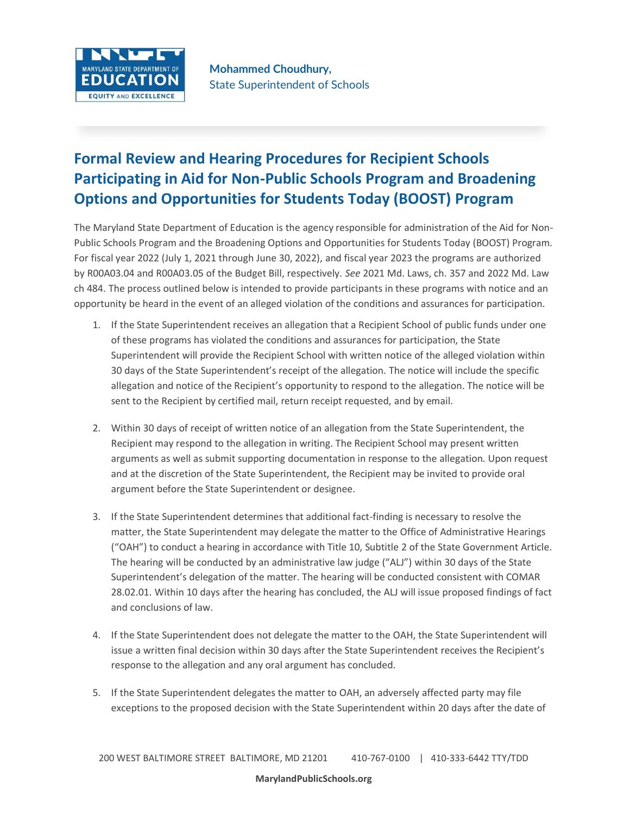

## **Formal Review and Hearing Procedures for Recipient Schools Participating in Aid for Non-Public Schools Program and Broadening Options and Opportunities for Students Today (BOOST) Program**

The Maryland State Department of Education is the agency responsible for administration of the Aid for Non-Public Schools Program and the Broadening Options and Opportunities for Students Today (BOOST) Program. For fiscal year 2022 (July 1, 2021 through June 30, 2022), and fiscal year 2023 the programs are authorized by R00A03.04 and R00A03.05 of the Budget Bill, respectively. *See* 2021 Md. Laws, ch. 357 and 2022 Md. Law ch 484. The process outlined below is intended to provide participants in these programs with notice and an opportunity be heard in the event of an alleged violation of the conditions and assurances for participation.

- 1. If the State Superintendent receives an allegation that a Recipient School of public funds under one of these programs has violated the conditions and assurances for participation, the State Superintendent will provide the Recipient School with written notice of the alleged violation within 30 days of the State Superintendent's receipt of the allegation. The notice will include the specific allegation and notice of the Recipient's opportunity to respond to the allegation. The notice will be sent to the Recipient by certified mail, return receipt requested, and by email.
- 2. Within 30 days of receipt of written notice of an allegation from the State Superintendent, the Recipient may respond to the allegation in writing. The Recipient School may present written arguments as well as submit supporting documentation in response to the allegation. Upon request and at the discretion of the State Superintendent, the Recipient may be invited to provide oral argument before the State Superintendent or designee.
- 3. If the State Superintendent determines that additional fact-finding is necessary to resolve the matter, the State Superintendent may delegate the matter to the Office of Administrative Hearings ("OAH") to conduct a hearing in accordance with Title 10, Subtitle 2 of the State Government Article. The hearing will be conducted by an administrative law judge ("ALJ") within 30 days of the State Superintendent's delegation of the matter. The hearing will be conducted consistent with COMAR 28.02.01. Within 10 days after the hearing has concluded, the ALJ will issue proposed findings of fact and conclusions of law.
- 4. If the State Superintendent does not delegate the matter to the OAH, the State Superintendent will issue a written final decision within 30 days after the State Superintendent receives the Recipient's response to the allegation and any oral argument has concluded.
- 5. If the State Superintendent delegates the matter to OAH, an adversely affected party may file exceptions to the proposed decision with the State Superintendent within 20 days after the date of

## **MarylandPublicSchools.org**